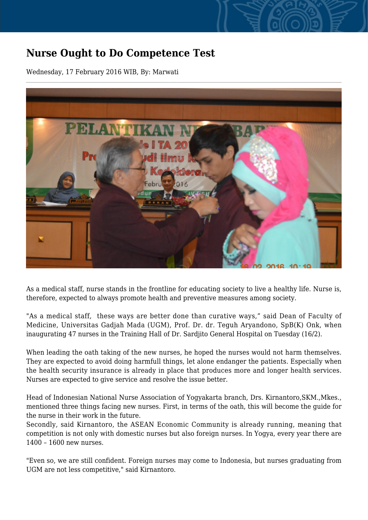## **Nurse Ought to Do Competence Test**

Wednesday, 17 February 2016 WIB, By: Marwati



As a medical staff, nurse stands in the frontline for educating society to live a healthy life. Nurse is, therefore, expected to always promote health and preventive measures among society.

"As a medical staff, these ways are better done than curative ways," said Dean of Faculty of Medicine, Universitas Gadjah Mada (UGM), Prof. Dr. dr. Teguh Aryandono, SpB(K) Onk, when inaugurating 47 nurses in the Training Hall of Dr. Sardjito General Hospital on Tuesday (16/2).

When leading the oath taking of the new nurses, he hoped the nurses would not harm themselves. They are expected to avoid doing harmfull things, let alone endanger the patients. Especially when the health security insurance is already in place that produces more and longer health services. Nurses are expected to give service and resolve the issue better.

Head of Indonesian National Nurse Association of Yogyakarta branch, Drs. Kirnantoro,SKM.,Mkes., mentioned three things facing new nurses. First, in terms of the oath, this will become the guide for the nurse in their work in the future.

Secondly, said Kirnantoro, the ASEAN Economic Community is already running, meaning that competition is not only with domestic nurses but also foreign nurses. In Yogya, every year there are 1400 – 1600 new nurses.

"Even so, we are still confident. Foreign nurses may come to Indonesia, but nurses graduating from UGM are not less competitive," said Kirnantoro.